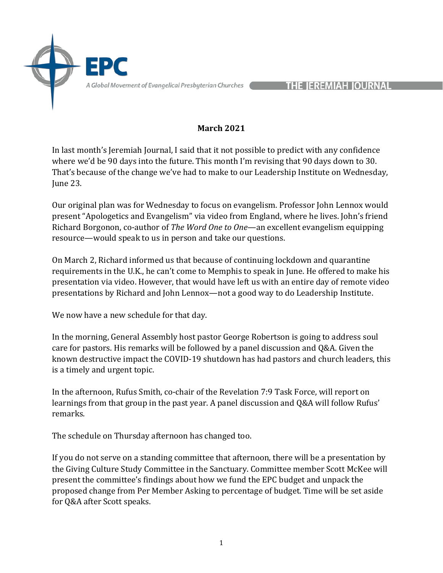

HE IEREMIAH IOURNAL

## **March 2021**

In last month's Jeremiah Journal, I said that it not possible to predict with any confidence where we'd be 90 days into the future. This month I'm revising that 90 days down to 30. That's because of the change we've had to make to our Leadership Institute on Wednesday, June 23.

Our original plan was for Wednesday to focus on evangelism. Professor John Lennox would present "Apologetics and Evangelism" via video from England, where he lives. John's friend Richard Borgonon, co-author of *The Word One to One*—an excellent evangelism equipping resource—would speak to us in person and take our questions.

On March 2, Richard informed us that because of continuing lockdown and quarantine requirements in the U.K., he can't come to Memphis to speak in June. He offered to make his presentation via video. However, that would have left us with an entire day of remote video presentations by Richard and John Lennox—not a good way to do Leadership Institute.

We now have a new schedule for that day.

In the morning, General Assembly host pastor George Robertson is going to address soul care for pastors. His remarks will be followed by a panel discussion and  $Q&A$ . Given the known destructive impact the COVID-19 shutdown has had pastors and church leaders, this is a timely and urgent topic.

In the afternoon, Rufus Smith, co-chair of the Revelation 7:9 Task Force, will report on learnings from that group in the past year. A panel discussion and Q&A will follow Rufus' remarks. 

The schedule on Thursday afternoon has changed too.

If you do not serve on a standing committee that afternoon, there will be a presentation by the Giving Culture Study Committee in the Sanctuary. Committee member Scott McKee will present the committee's findings about how we fund the EPC budget and unpack the proposed change from Per Member Asking to percentage of budget. Time will be set aside for Q&A after Scott speaks.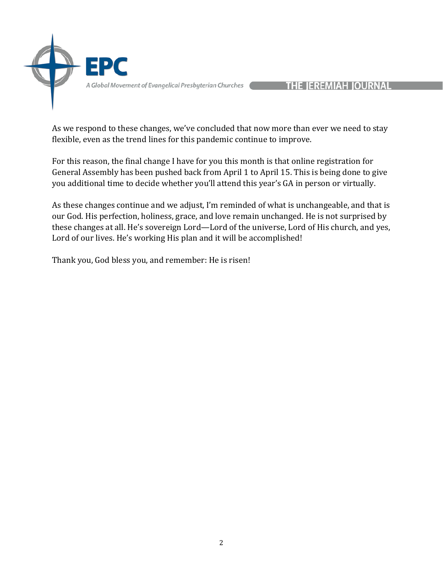

## HE IEREMIAH IOURNAL

As we respond to these changes, we've concluded that now more than ever we need to stay flexible, even as the trend lines for this pandemic continue to improve.

For this reason, the final change I have for you this month is that online registration for General Assembly has been pushed back from April 1 to April 15. This is being done to give you additional time to decide whether you'll attend this year's GA in person or virtually.

As these changes continue and we adjust, I'm reminded of what is unchangeable, and that is our God. His perfection, holiness, grace, and love remain unchanged. He is not surprised by these changes at all. He's sovereign Lord—Lord of the universe, Lord of His church, and yes, Lord of our lives. He's working His plan and it will be accomplished!

Thank you, God bless you, and remember: He is risen!